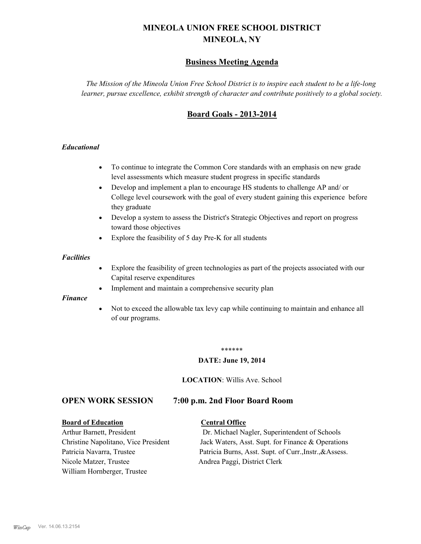# **MINEOLA UNION FREE SCHOOL DISTRICT MINEOLA, NY**

## **Business Meeting Agenda**

*The Mission of the Mineola Union Free School District is to inspire each student to be a life-long learner, pursue excellence, exhibit strength of character and contribute positively to a global society.*

## **Board Goals - 2013-2014**

#### *Educational*

- · To continue to integrate the Common Core standards with an emphasis on new grade level assessments which measure student progress in specific standards
- · Develop and implement a plan to encourage HS students to challenge AP and/ or College level coursework with the goal of every student gaining this experience before they graduate
- Develop a system to assess the District's Strategic Objectives and report on progress toward those objectives
- · Explore the feasibility of 5 day Pre-K for all students

#### *Facilities*

- · Explore the feasibility of green technologies as part of the projects associated with our Capital reserve expenditures
- Implement and maintain a comprehensive security plan

#### *Finance*

• Not to exceed the allowable tax levy cap while continuing to maintain and enhance all of our programs.

#### \*\*\*\*\*\*

#### **DATE: June 19, 2014**

**LOCATION**: Willis Ave. School

## **OPEN WORK SESSION 7:00 p.m. 2nd Floor Board Room**

#### **Board of Education Central Office**

Nicole Matzer, Trustee Andrea Paggi, District Clerk William Hornberger, Trustee

Arthur Barnett, President Dr. Michael Nagler, Superintendent of Schools Christine Napolitano, Vice President Jack Waters, Asst. Supt. for Finance & Operations Patricia Navarra, Trustee Patricia Burns, Asst. Supt. of Curr., Instr., &Assess.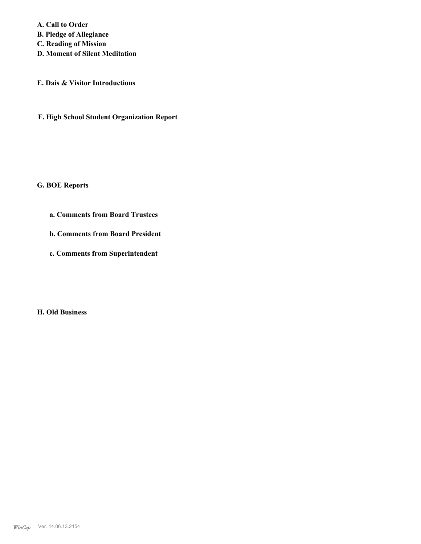**A. Call to Order B. Pledge of Allegiance C. Reading of Mission D. Moment of Silent Meditation**

**E. Dais & Visitor Introductions**

**F. High School Student Organization Report**

**G. BOE Reports**

**a. Comments from Board Trustees**

**b. Comments from Board President**

**c. Comments from Superintendent**

**H. Old Business**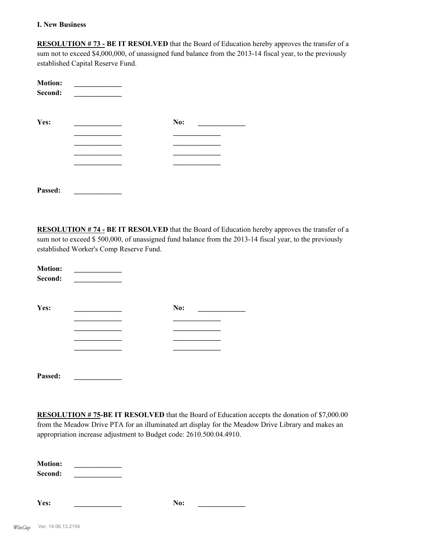#### **I. New Business**

**RESOLUTION # 73 - BE IT RESOLVED** that the Board of Education hereby approves the transfer of a sum not to exceed \$4,000,000, of unassigned fund balance from the 2013-14 fiscal year, to the previously established Capital Reserve Fund.

| <b>Motion:</b><br>Second: |     |  |
|---------------------------|-----|--|
| Yes:                      | No: |  |
|                           |     |  |
|                           |     |  |
|                           |     |  |
|                           |     |  |
|                           |     |  |
| Passed:                   |     |  |

**RESOLUTION # 74 - BE IT RESOLVED** that the Board of Education hereby approves the transfer of a sum not to exceed \$ 500,000, of unassigned fund balance from the 2013-14 fiscal year, to the previously established Worker's Comp Reserve Fund.

| <b>Motion:</b><br>Second: |     |  |
|---------------------------|-----|--|
| Yes:                      | No: |  |
|                           |     |  |
|                           |     |  |
|                           |     |  |
|                           |     |  |
| Passed:                   |     |  |

**RESOLUTION # 75-BE IT RESOLVED** that the Board of Education accepts the donation of \$7,000.00 from the Meadow Drive PTA for an illuminated art display for the Meadow Drive Library and makes an appropriation increase adjustment to Budget code: 2610.500.04.4910.

**Motion: \_\_\_\_\_\_\_\_\_\_\_\_\_ Second: \_\_\_\_\_\_\_\_\_\_\_\_\_**

**Yes: \_\_\_\_\_\_\_\_\_\_\_\_\_ No: \_\_\_\_\_\_\_\_\_\_\_\_\_**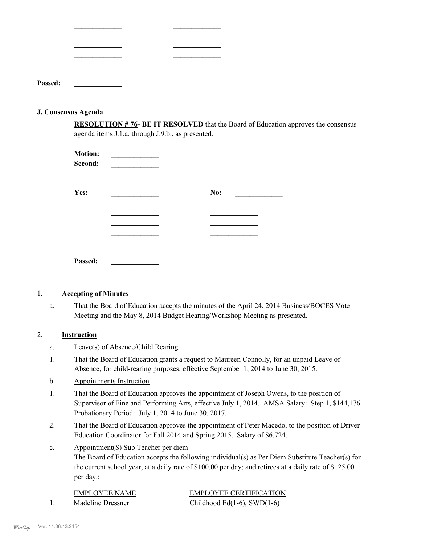| Passed: |  |  |
|---------|--|--|

#### **J. Consensus Agenda**

**RESOLUTION # 76- BE IT RESOLVED** that the Board of Education approves the consensus agenda items J.1.a. through J.9.b., as presented.

| <b>Motion:</b><br>Second: |     |
|---------------------------|-----|
| Yes:                      | No: |
|                           |     |
|                           |     |
|                           |     |
|                           |     |
|                           |     |
| Passed:                   |     |

#### 1. **Accepting of Minutes**

That the Board of Education accepts the minutes of the April 24, 2014 Business/BOCES Vote Meeting and the May 8, 2014 Budget Hearing/Workshop Meeting as presented. a.

## 2. **Instruction**

- a. Leave(s) of Absence/Child Rearing
- That the Board of Education grants a request to Maureen Connolly, for an unpaid Leave of Absence, for child-rearing purposes, effective September 1, 2014 to June 30, 2015. 1.
- b. Appointments Instruction
- That the Board of Education approves the appointment of Joseph Owens, to the position of Supervisor of Fine and Performing Arts, effective July 1, 2014. AMSA Salary: Step 1, \$144,176. Probationary Period: July 1, 2014 to June 30, 2017. 1.
- That the Board of Education approves the appointment of Peter Macedo, to the position of Driver Education Coordinator for Fall 2014 and Spring 2015. Salary of \$6,724. 2.
- Appointment(S) Sub Teacher per diem c.

The Board of Education accepts the following individual(s) as Per Diem Substitute Teacher(s) for the current school year, at a daily rate of \$100.00 per day; and retirees at a daily rate of \$125.00 per day.:

| EMPLOYEE NAME     | <b>EMPLOYEE CERTIFICATION</b> |
|-------------------|-------------------------------|
| Madeline Dressner | Childhood Ed(1-6), SWD(1-6)   |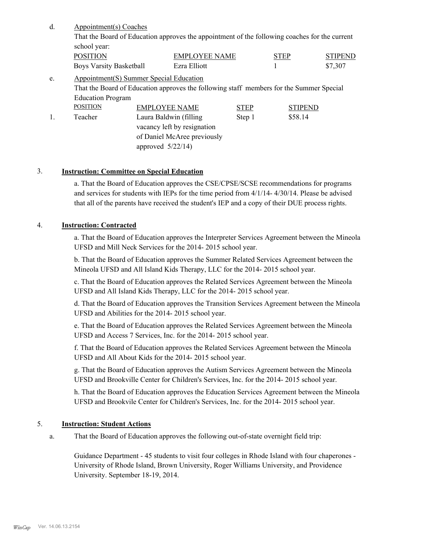| d. | Appointment(s) Coaches<br>That the Board of Education approves the appointment of the following coaches for the current<br>school year: |                                          |             |                |                |
|----|-----------------------------------------------------------------------------------------------------------------------------------------|------------------------------------------|-------------|----------------|----------------|
|    | <b>POSITION</b>                                                                                                                         | <b>EMPLOYEE NAME</b><br><b>STEP</b>      |             |                | <b>STIPEND</b> |
|    | <b>Boys Varsity Basketball</b>                                                                                                          | Ezra Elliott                             |             |                | \$7,307        |
| e. |                                                                                                                                         | Appointment (S) Summer Special Education |             |                |                |
|    | That the Board of Education approves the following staff members for the Summer Special                                                 |                                          |             |                |                |
|    | <b>Education Program</b>                                                                                                                |                                          |             |                |                |
|    | <b>POSITION</b>                                                                                                                         | <b>EMPLOYEE NAME</b>                     | <b>STEP</b> | <b>STIPEND</b> |                |
|    | Teacher                                                                                                                                 | Laura Baldwin (filling)                  | Step 1      | \$58.14        |                |
|    |                                                                                                                                         | vacancy left by resignation              |             |                |                |
|    |                                                                                                                                         | of Daniel McAree previously              |             |                |                |

approved 5/22/14)

#### 3. **Instruction: Committee on Special Education**

a. That the Board of Education approves the CSE/CPSE/SCSE recommendations for programs and services for students with IEPs for the time period from 4/1/14- 4/30/14. Please be advised that all of the parents have received the student's IEP and a copy of their DUE process rights.

#### 4. **Instruction: Contracted**

a. That the Board of Education approves the Interpreter Services Agreement between the Mineola UFSD and Mill Neck Services for the 2014- 2015 school year.

b. That the Board of Education approves the Summer Related Services Agreement between the Mineola UFSD and All Island Kids Therapy, LLC for the 2014- 2015 school year.

c. That the Board of Education approves the Related Services Agreement between the Mineola UFSD and All Island Kids Therapy, LLC for the 2014- 2015 school year.

d. That the Board of Education approves the Transition Services Agreement between the Mineola UFSD and Abilities for the 2014- 2015 school year.

e. That the Board of Education approves the Related Services Agreement between the Mineola UFSD and Access 7 Services, Inc. for the 2014- 2015 school year.

f. That the Board of Education approves the Related Services Agreement between the Mineola UFSD and All About Kids for the 2014- 2015 school year.

g. That the Board of Education approves the Autism Services Agreement between the Mineola UFSD and Brookville Center for Children's Services, Inc. for the 2014- 2015 school year.

h. That the Board of Education approves the Education Services Agreement between the Mineola UFSD and Brookvile Center for Children's Services, Inc. for the 2014- 2015 school year.

#### 5. **Instruction: Student Actions**

That the Board of Education approves the following out-of-state overnight field trip: a.

Guidance Department - 45 students to visit four colleges in Rhode Island with four chaperones - University of Rhode Island, Brown University, Roger Williams University, and Providence University. September 18-19, 2014.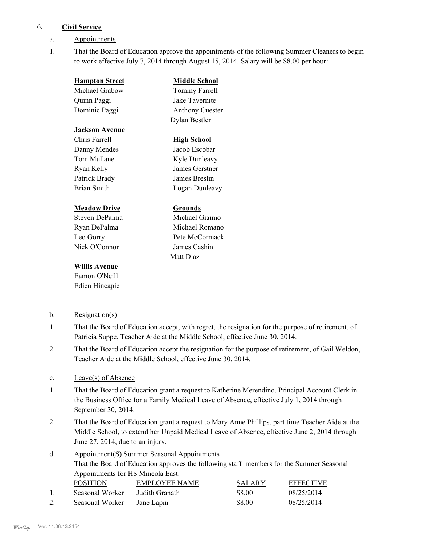#### 6. **Civil Service**

- a. Appointments
- That the Board of Education approve the appointments of the following Summer Cleaners to begin to work effective July 7, 2014 through August 15, 2014. Salary will be \$8.00 per hour: 1.

| <b>Hampton Street</b> | <b>Middle School</b>   |
|-----------------------|------------------------|
| Michael Grabow        | Tommy Farrell          |
| Quinn Paggi           | Jake Tavernite         |
| Dominic Paggi         | <b>Anthony Cuester</b> |
|                       | Dylan Bestler          |
| <b>Jackson Avenue</b> |                        |
| Chris Farrell         | High School            |
| Danny Mendes          | Jacob Escobar          |
| Tom Mullane           | Kyle Dunleavy          |
| Ryan Kelly            | James Gerstner         |
| Patrick Brady         | James Breslin          |
| <b>Brian Smith</b>    | Logan Dunleavy         |
| <b>Meadow Drive</b>   | Grounds                |

## Steven DePalma Michael Giaimo Ryan DePalma Michael Romano Leo Gorry Pete McCormack Nick O'Connor James Cashin

## **Willis Avenue**

Eamon O'Neill Edien Hincapie

## b. Resignation(s)

That the Board of Education accept, with regret, the resignation for the purpose of retirement, of Patricia Suppe, Teacher Aide at the Middle School, effective June 30, 2014. 1.

Matt Diaz

- That the Board of Education accept the resignation for the purpose of retirement, of Gail Weldon, Teacher Aide at the Middle School, effective June 30, 2014. 2.
- c. Leave(s) of Absence
- That the Board of Education grant a request to Katherine Merendino, Principal Account Clerk in the Business Office for a Family Medical Leave of Absence, effective July 1, 2014 through September 30, 2014. 1.
- That the Board of Education grant a request to Mary Anne Phillips, part time Teacher Aide at the Middle School, to extend her Unpaid Medical Leave of Absence, effective June 2, 2014 through June 27, 2014, due to an injury. 2.
- Appointment(S) Summer Seasonal Appointments That the Board of Education approves the following staff members for the Summer Seasonal Appointments for HS Mineola East: d. POSITION EMPLOYEE NAME SALARY EFFECTIVE 1. Seasonal Worker Judith Granath \$8.00 08/25/2014
- 2. Seasonal Worker Jane Lapin \$8.00 08/25/2014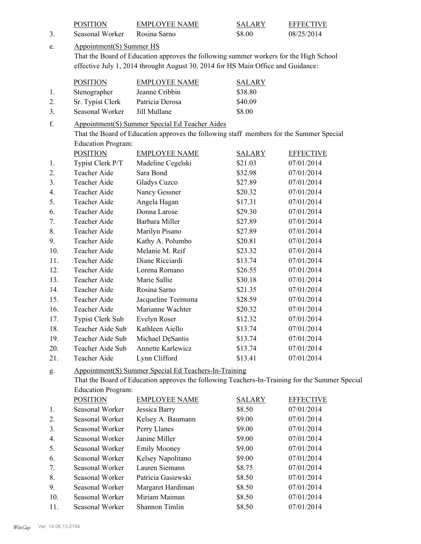| 3.             | <b>POSITION</b><br>Seasonal Worker | <b>EMPLOYEE NAME</b><br>Rosina Sarno                                                    | <b>SALARY</b><br>\$8.00 | <b>EFFECTIVE</b><br>08/25/2014                                                                 |
|----------------|------------------------------------|-----------------------------------------------------------------------------------------|-------------------------|------------------------------------------------------------------------------------------------|
|                |                                    |                                                                                         |                         |                                                                                                |
| e.             | Appointment(S) Summer HS           | That the Board of Education approves the following summer workers for the High School   |                         |                                                                                                |
|                |                                    | effective July 1, 2014 throught August 30, 2014 for HS Main Office and Guidance:        |                         |                                                                                                |
|                |                                    |                                                                                         |                         |                                                                                                |
|                | <b>POSITION</b>                    | <b>EMPLOYEE NAME</b>                                                                    | <b>SALARY</b>           |                                                                                                |
| 1.             | Stenographer                       | Jeanne Cribbin                                                                          | \$38.80                 |                                                                                                |
| 2.             | Sr. Typist Clerk                   | Patricia Derosa                                                                         | \$40.09                 |                                                                                                |
| 3.             | Seasonal Worker                    | Jill Mullane                                                                            | \$8.00                  |                                                                                                |
| f.             |                                    | Appointment(S) Summer Special Ed Teacher Aides                                          |                         |                                                                                                |
|                |                                    | That the Board of Education approves the following staff members for the Summer Special |                         |                                                                                                |
|                | <b>Education Program:</b>          |                                                                                         |                         |                                                                                                |
|                | <b>POSITION</b>                    | <b>EMPLOYEE NAME</b>                                                                    | <b>SALARY</b>           | <b>EFFECTIVE</b>                                                                               |
| 1.             | Typist Clerk P/T                   | Madeline Cegelski                                                                       | \$21.03                 | 07/01/2014                                                                                     |
| 2.             | Teacher Aide                       | Sara Bond                                                                               | \$32.98                 | 07/01/2014                                                                                     |
| 3 <sub>1</sub> | Teacher Aide                       | Gladys Cuzco                                                                            | \$27.89                 | 07/01/2014                                                                                     |
| 4.             | Teacher Aide                       | Nancy Gessner                                                                           | \$20.32                 | 07/01/2014                                                                                     |
| 5.             | Teacher Aide                       | Angela Hagan                                                                            | \$17.31                 | 07/01/2014                                                                                     |
| 6.             | Teacher Aide                       | Donna Larose                                                                            | \$29.30                 | 07/01/2014                                                                                     |
| 7.             | Teacher Aide                       | Barbara Miller                                                                          | \$27.89                 | 07/01/2014                                                                                     |
| 8.             | Teacher Aide                       | Marilyn Pisano                                                                          | \$27.89                 | 07/01/2014                                                                                     |
| 9.             | Teacher Aide                       | Kathy A. Polumbo                                                                        | \$20.81                 | 07/01/2014                                                                                     |
| 10.            | Teacher Aide                       | Melanie M. Reif                                                                         | \$23.32                 | 07/01/2014                                                                                     |
| 11.            | Teacher Aide                       | Diane Ricciardi                                                                         | \$13.74                 | 07/01/2014                                                                                     |
| 12.            | Teacher Aide                       | Lorena Romano                                                                           | \$26.55                 | 07/01/2014                                                                                     |
| 13.            | Teacher Aide                       | Marie Sallie                                                                            | \$30.18                 | 07/01/2014                                                                                     |
| 14.            | Teacher Aide                       | Rosina Sarno                                                                            | \$21.35                 | 07/01/2014                                                                                     |
| 15.            | Teacher Aide                       | Jacqueline Teemsma                                                                      | \$28.59                 | 07/01/2014                                                                                     |
| 16.            | Teacher Aide                       | Marianne Wachter                                                                        | \$20.32                 | 07/01/2014                                                                                     |
| 17.            | Typist Clerk Sub                   | Evelyn Roser                                                                            | \$12.32                 | 07/01/2014                                                                                     |
| 18.            | Teacher Aide Sub                   | Kathleen Aiello                                                                         | \$13.74                 | 07/01/2014                                                                                     |
| 19.            | Teacher Aide Sub                   | Michael DeSantis                                                                        | \$13.74                 | 07/01/2014                                                                                     |
| 20.            | Teacher Aide Sub                   | Annette Karlewicz                                                                       | \$13.74                 | 07/01/2014                                                                                     |
| 21.            | Teacher Aide                       | Lynn Clifford                                                                           | \$13.41                 | 07/01/2014                                                                                     |
| g.             |                                    | Appointment(S) Summer Special Ed Teachers-In-Training                                   |                         |                                                                                                |
|                |                                    |                                                                                         |                         | That the Board of Education approves the following Teachers-In-Training for the Summer Special |
|                | <b>Education Program:</b>          |                                                                                         |                         |                                                                                                |
|                | <b>POSITION</b>                    | <b>EMPLOYEE NAME</b>                                                                    | <b>SALARY</b>           | <b>EFFECTIVE</b>                                                                               |
| 1.             | Seasonal Worker                    | Jessica Barry                                                                           | \$8.50                  | 07/01/2014                                                                                     |
| 2.             | Seasonal Worker                    | Kelsey A. Baumann                                                                       | \$9.00                  | 07/01/2014                                                                                     |
| 3.             | Seasonal Worker                    | Perry Llanes                                                                            | \$9.00                  | 07/01/2014                                                                                     |
| 4.             | Seasonal Worker                    | Janine Miller                                                                           | \$9.00                  | 07/01/2014                                                                                     |
| 5.             | Seasonal Worker                    | <b>Emily Mooney</b>                                                                     | \$9.00                  | 07/01/2014                                                                                     |
| 6.             | Seasonal Worker                    | Kelsey Napolitano                                                                       | \$9.00                  | 07/01/2014                                                                                     |
| 7.             | Seasonal Worker                    | Lauren Siemann                                                                          | \$8.75                  | 07/01/2014                                                                                     |
| 8.             | Seasonal Worker                    | Patricia Gasiewski                                                                      | \$8.50                  | 07/01/2014                                                                                     |

9. Seasonal Worker Margaret Hardiman \$8.50 07/01/2014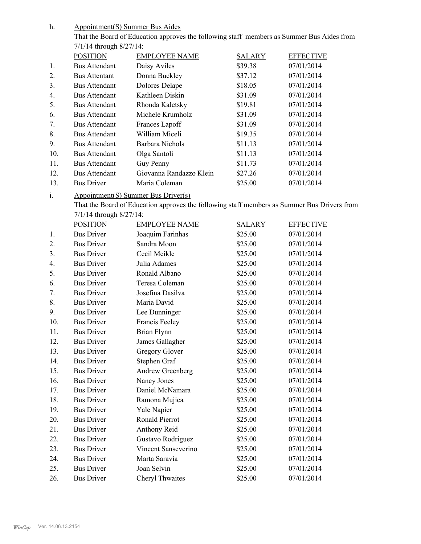Appointment(S) Summer Bus Aides h.

> That the Board of Education approves the following staff members as Summer Bus Aides from 7/1/14 through 8/27/14:

|     | <b>POSITION</b>      | <b>EMPLOYEE NAME</b>    | <b>SALARY</b> | <b>EFFECTIVE</b> |
|-----|----------------------|-------------------------|---------------|------------------|
| 1.  | <b>Bus Attendant</b> | Daisy Aviles            | \$39.38       | 07/01/2014       |
| 2.  | <b>Bus Attentant</b> | Donna Buckley           | \$37.12       | 07/01/2014       |
| 3.  | <b>Bus Attendant</b> | Dolores Delape          | \$18.05       | 07/01/2014       |
| 4.  | <b>Bus Attendant</b> | Kathleen Diskin         | \$31.09       | 07/01/2014       |
| 5.  | <b>Bus Attendant</b> | Rhonda Kaletsky         | \$19.81       | 07/01/2014       |
| 6.  | <b>Bus Attendant</b> | Michele Krumholz        | \$31.09       | 07/01/2014       |
| 7.  | <b>Bus Attendant</b> | Frances Lapoff          | \$31.09       | 07/01/2014       |
| 8.  | <b>Bus Attendant</b> | William Miceli          | \$19.35       | 07/01/2014       |
| 9.  | <b>Bus Attendant</b> | Barbara Nichols         | \$11.13       | 07/01/2014       |
| 10. | <b>Bus Attendant</b> | Olga Santoli            | \$11.13       | 07/01/2014       |
| 11. | <b>Bus Attendant</b> | Guy Penny               | \$11.73       | 07/01/2014       |
| 12. | <b>Bus Attendant</b> | Giovanna Randazzo Klein | \$27.26       | 07/01/2014       |
| 13. | <b>Bus Driver</b>    | Maria Coleman           | \$25.00       | 07/01/2014       |

#### Appointment(S) Summer Bus Driver(s) i.

That the Board of Education approves the following staff members as Summer Bus Drivers from 7/1/14 through 8/27/14:

|                  | <b>POSITION</b>   | <b>EMPLOYEE NAME</b> | <b>SALARY</b> | <b>EFFECTIVE</b> |
|------------------|-------------------|----------------------|---------------|------------------|
| 1.               | <b>Bus Driver</b> | Joaquim Farinhas     | \$25.00       | 07/01/2014       |
| 2.               | <b>Bus Driver</b> | Sandra Moon          | \$25.00       | 07/01/2014       |
| 3 <sub>1</sub>   | <b>Bus Driver</b> | Cecil Meikle         | \$25.00       | 07/01/2014       |
| $\overline{4}$ . | <b>Bus Driver</b> | Julia Adames         | \$25.00       | 07/01/2014       |
| 5.               | <b>Bus Driver</b> | Ronald Albano        | \$25.00       | 07/01/2014       |
| 6.               | <b>Bus Driver</b> | Teresa Coleman       | \$25.00       | 07/01/2014       |
| 7.               | <b>Bus Driver</b> | Josefina Dasilva     | \$25.00       | 07/01/2014       |
| 8.               | <b>Bus Driver</b> | Maria David          | \$25.00       | 07/01/2014       |
| 9.               | <b>Bus Driver</b> | Lee Dunninger        | \$25.00       | 07/01/2014       |
| 10.              | <b>Bus Driver</b> | Francis Feeley       | \$25.00       | 07/01/2014       |
| 11.              | <b>Bus Driver</b> | Brian Flynn          | \$25.00       | 07/01/2014       |
| 12.              | <b>Bus Driver</b> | James Gallagher      | \$25.00       | 07/01/2014       |
| 13.              | <b>Bus Driver</b> | Gregory Glover       | \$25.00       | 07/01/2014       |
| 14.              | <b>Bus Driver</b> | Stephen Graf         | \$25.00       | 07/01/2014       |
| 15.              | <b>Bus Driver</b> | Andrew Greenberg     | \$25.00       | 07/01/2014       |
| 16.              | <b>Bus Driver</b> | Nancy Jones          | \$25.00       | 07/01/2014       |
| 17.              | <b>Bus Driver</b> | Daniel McNamara      | \$25.00       | 07/01/2014       |
| 18.              | <b>Bus Driver</b> | Ramona Mujica        | \$25.00       | 07/01/2014       |
| 19.              | <b>Bus Driver</b> | Yale Napier          | \$25.00       | 07/01/2014       |
| 20.              | <b>Bus Driver</b> | Ronald Pierrot       | \$25.00       | 07/01/2014       |
| 21.              | <b>Bus Driver</b> | Anthony Reid         | \$25.00       | 07/01/2014       |
| 22.              | <b>Bus Driver</b> | Gustavo Rodriguez    | \$25.00       | 07/01/2014       |
| 23.              | <b>Bus Driver</b> | Vincent Sanseverino  | \$25.00       | 07/01/2014       |
| 24.              | <b>Bus Driver</b> | Marta Saravia        | \$25.00       | 07/01/2014       |
| 25.              | <b>Bus Driver</b> | Joan Selvin          | \$25.00       | 07/01/2014       |
| 26.              | <b>Bus Driver</b> | Cheryl Thwaites      | \$25.00       | 07/01/2014       |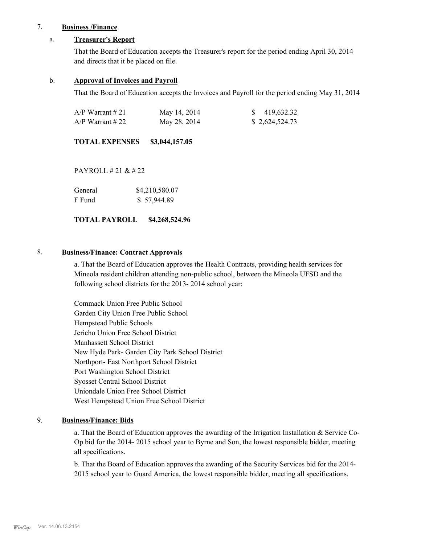#### 7. **Business /Finance**

#### a. **Treasurer's Report**

That the Board of Education accepts the Treasurer's report for the period ending April 30, 2014 and directs that it be placed on file.

#### b. **Approval of Invoices and Payroll**

That the Board of Education accepts the Invoices and Payroll for the period ending May 31, 2014

| A/P Warrant # 21 | May 14, 2014 | \$419,632.32   |
|------------------|--------------|----------------|
| A/P Warrant # 22 | May 28, 2014 | \$2,624,524.73 |

**TOTAL EXPENSES \$3,044,157.05**

PAYROLL # 21 & # 22

| General | \$4,210,580.07 |
|---------|----------------|
| F Fund  | \$57,944.89    |

**TOTAL PAYROLL \$4,268,524.96**

#### 8. **Business/Finance: Contract Approvals**

a. That the Board of Education approves the Health Contracts, providing health services for Mineola resident children attending non-public school, between the Mineola UFSD and the following school districts for the 2013- 2014 school year:

Commack Union Free Public School Garden City Union Free Public School Hempstead Public Schools Jericho Union Free School District Manhassett School District New Hyde Park- Garden City Park School District Northport- East Northport School District Port Washington School District Syosset Central School District Uniondale Union Free School District West Hempstead Union Free School District

## 9. **Business/Finance: Bids**

a. That the Board of Education approves the awarding of the Irrigation Installation & Service Co-Op bid for the 2014- 2015 school year to Byrne and Son, the lowest responsible bidder, meeting all specifications.

b. That the Board of Education approves the awarding of the Security Services bid for the 2014- 2015 school year to Guard America, the lowest responsible bidder, meeting all specifications.